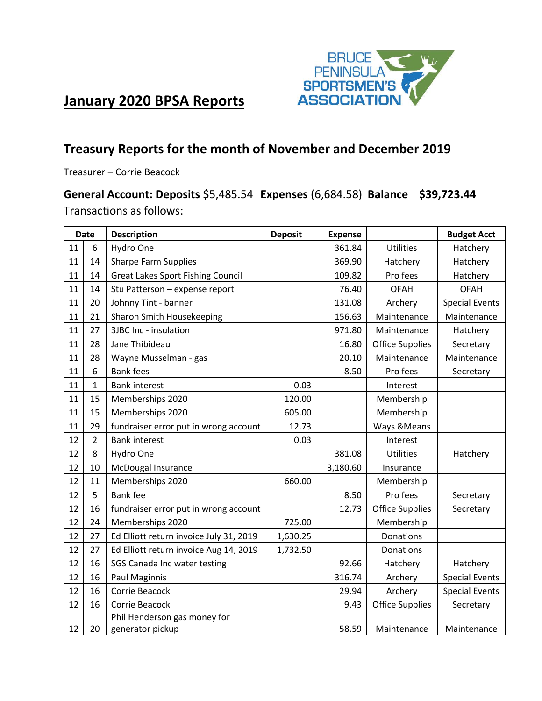

# **January 2020 BPSA Reports**

# **Treasury Reports for the month of November and December 2019**

Treasurer – Corrie Beacock

### **General Account: Deposits** \$5,485.54 **Expenses** (6,684.58) **Balance \$39,723.44** Transactions as follows:

| <b>Date</b> |                | <b>Description</b>                       | <b>Deposit</b> | <b>Expense</b> |                        | <b>Budget Acct</b>    |
|-------------|----------------|------------------------------------------|----------------|----------------|------------------------|-----------------------|
| 11          | 6              | Hydro One                                |                | 361.84         | <b>Utilities</b>       | Hatchery              |
| 11          | 14             | <b>Sharpe Farm Supplies</b>              |                | 369.90         | Hatchery               | Hatchery              |
| 11          | 14             | <b>Great Lakes Sport Fishing Council</b> |                | 109.82         | Pro fees               | Hatchery              |
| 11          | 14             | Stu Patterson - expense report           |                | 76.40          | <b>OFAH</b>            | <b>OFAH</b>           |
| 11          | 20             | Johnny Tint - banner                     |                | 131.08         | Archery                | <b>Special Events</b> |
| 11          | 21             | Sharon Smith Housekeeping                |                | 156.63         | Maintenance            | Maintenance           |
| 11          | 27             | 3JBC Inc - insulation                    |                | 971.80         | Maintenance            | Hatchery              |
| 11          | 28             | Jane Thibideau                           |                | 16.80          | <b>Office Supplies</b> | Secretary             |
| 11          | 28             | Wayne Musselman - gas                    |                | 20.10          | Maintenance            | Maintenance           |
| 11          | 6              | <b>Bank fees</b>                         |                | 8.50           | Pro fees               | Secretary             |
| 11          | $\mathbf{1}$   | <b>Bank interest</b>                     | 0.03           |                | Interest               |                       |
| 11          | 15             | Memberships 2020                         | 120.00         |                | Membership             |                       |
| 11          | 15             | Memberships 2020                         | 605.00         |                | Membership             |                       |
| 11          | 29             | fundraiser error put in wrong account    | 12.73          |                | Ways & Means           |                       |
| 12          | $\overline{2}$ | <b>Bank interest</b>                     | 0.03           |                | Interest               |                       |
| 12          | 8              | Hydro One                                |                | 381.08         | <b>Utilities</b>       | Hatchery              |
| 12          | 10             | McDougal Insurance                       |                | 3,180.60       | Insurance              |                       |
| 12          | 11             | Memberships 2020                         | 660.00         |                | Membership             |                       |
| 12          | 5              | <b>Bank fee</b>                          |                | 8.50           | Pro fees               | Secretary             |
| 12          | 16             | fundraiser error put in wrong account    |                | 12.73          | <b>Office Supplies</b> | Secretary             |
| 12          | 24             | Memberships 2020                         | 725.00         |                | Membership             |                       |
| 12          | 27             | Ed Elliott return invoice July 31, 2019  | 1,630.25       |                | Donations              |                       |
| 12          | 27             | Ed Elliott return invoice Aug 14, 2019   | 1,732.50       |                | Donations              |                       |
| 12          | 16             | SGS Canada Inc water testing             |                | 92.66          | Hatchery               | Hatchery              |
| 12          | 16             | Paul Maginnis                            |                | 316.74         | Archery                | <b>Special Events</b> |
| 12          | 16             | Corrie Beacock                           |                | 29.94          | Archery                | <b>Special Events</b> |
| 12          | 16             | Corrie Beacock                           |                | 9.43           | <b>Office Supplies</b> | Secretary             |
|             |                | Phil Henderson gas money for             |                |                |                        |                       |
| 12          | 20             | generator pickup                         |                | 58.59          | Maintenance            | Maintenance           |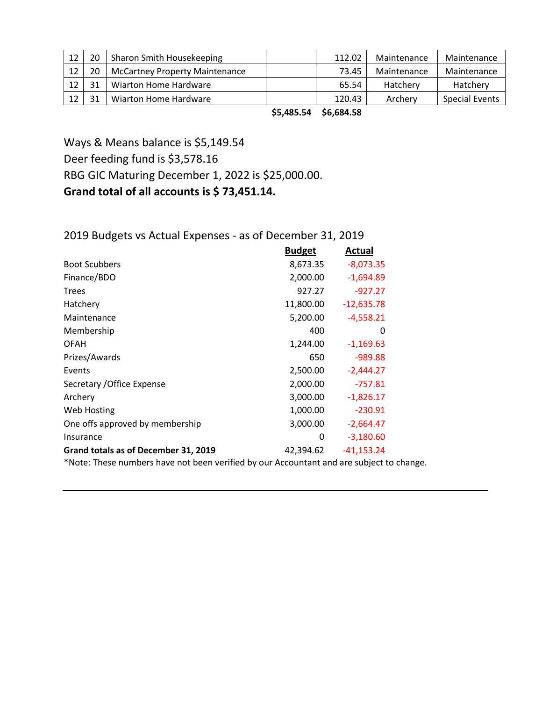|  | Sharon Smith Housekeeping             | 112.02 | Maintenance | Maintenance    |
|--|---------------------------------------|--------|-------------|----------------|
|  | <b>McCartney Property Maintenance</b> | 73.45  | Maintenance | Maintenance    |
|  | Wiarton Home Hardware                 | 65.54  | Hatchery    | Hatchery       |
|  | Wiarton Home Hardware                 | 120.43 | Archery     | Special Events |

**\$5,485.54 \$6,684.58**

Ways & Means balance is \$5,149.54 Deer feeding fund is \$3,578.16 RBG GIC Maturing December 1, 2022 is \$25,000.00. **Grand total of all accounts is \$ 73,451.14.**

## 2019 Budgets vs Actual Expenses - as of December 31, 2019

|                                      | <b>Budget</b> | Actual       |
|--------------------------------------|---------------|--------------|
| <b>Boot Scubbers</b>                 | 8,673.35      | $-8,073.35$  |
| Finance/BDO                          | 2,000.00      | $-1,694.89$  |
| <b>Trees</b>                         | 927.27        | $-927.27$    |
| Hatchery                             | 11,800.00     | $-12,635.78$ |
| Maintenance                          | 5,200.00      | $-4,558.21$  |
| Membership                           | 400           | 0            |
| OFAH                                 | 1,244.00      | $-1,169.63$  |
| Prizes/Awards                        | 650           | $-989.88$    |
| Events                               | 2,500.00      | $-2,444.27$  |
| Secretary / Office Expense           | 2,000.00      | $-757.81$    |
| Archery                              | 3,000.00      | $-1,826.17$  |
| Web Hosting                          | 1,000.00      | $-230.91$    |
| One offs approved by membership      | 3,000.00      | $-2,664.47$  |
| Insurance                            | 0             | $-3,180.60$  |
| Grand totals as of December 31, 2019 | 42,394.62     | $-41,153.24$ |

\*Note: These numbers have not been verified by our Accountant and are subject to change.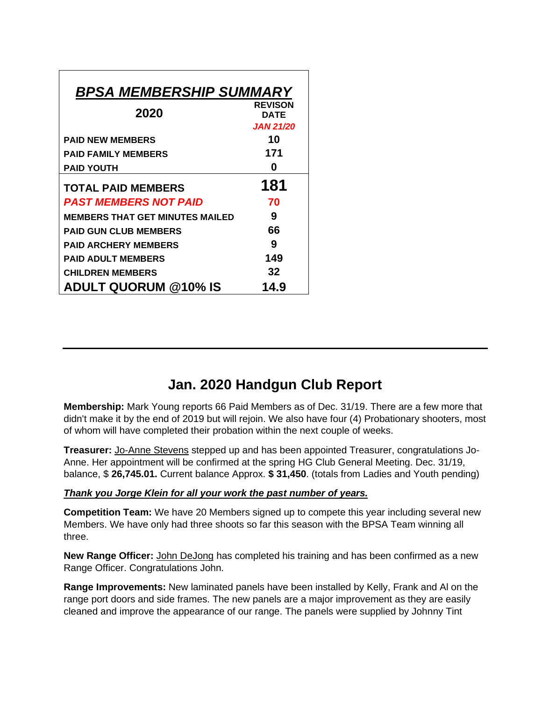| <b>BPSA MEMBERSHIP SUMMARY</b>         |                        |  |  |
|----------------------------------------|------------------------|--|--|
| 2020                                   | <b>REVISON</b><br>DATE |  |  |
|                                        | <b>JAN 21/20</b>       |  |  |
| <b>PAID NEW MEMBERS</b>                | 10                     |  |  |
| <b>PAID FAMILY MEMBERS</b>             | 171                    |  |  |
| <b>PAID YOUTH</b>                      | O                      |  |  |
| <b>TOTAL PAID MEMBERS</b>              | 181                    |  |  |
| <b>PAST MEMBERS NOT PAID</b>           | 70                     |  |  |
| <b>MEMBERS THAT GET MINUTES MAILED</b> | 9                      |  |  |
| <b>PAID GUN CLUB MEMBERS</b>           | 66                     |  |  |
| <b>PAID ARCHERY MEMBERS</b>            | 9                      |  |  |
| <b>PAID ADULT MEMBERS</b>              | 149                    |  |  |
| <b>CHILDREN MEMBERS</b>                | 32                     |  |  |
| <b>ADULT QUORUM @10% IS</b>            | 14.9                   |  |  |

# **Jan. 2020 Handgun Club Report**

**Membership:** Mark Young reports 66 Paid Members as of Dec. 31/19. There are a few more that didn't make it by the end of 2019 but will rejoin. We also have four (4) Probationary shooters, most of whom will have completed their probation within the next couple of weeks.

**Treasurer:** Jo-Anne Stevens stepped up and has been appointed Treasurer, congratulations Jo-Anne. Her appointment will be confirmed at the spring HG Club General Meeting. Dec. 31/19, balance, \$ **26,745.01.** Current balance Approx. **\$ 31,450**. (totals from Ladies and Youth pending)

### *Thank you Jorge Klein for all your work the past number of years.*

**Competition Team:** We have 20 Members signed up to compete this year including several new Members. We have only had three shoots so far this season with the BPSA Team winning all three.

**New Range Officer:** John DeJong has completed his training and has been confirmed as a new Range Officer. Congratulations John.

**Range Improvements:** New laminated panels have been installed by Kelly, Frank and Al on the range port doors and side frames. The new panels are a major improvement as they are easily cleaned and improve the appearance of our range. The panels were supplied by Johnny Tint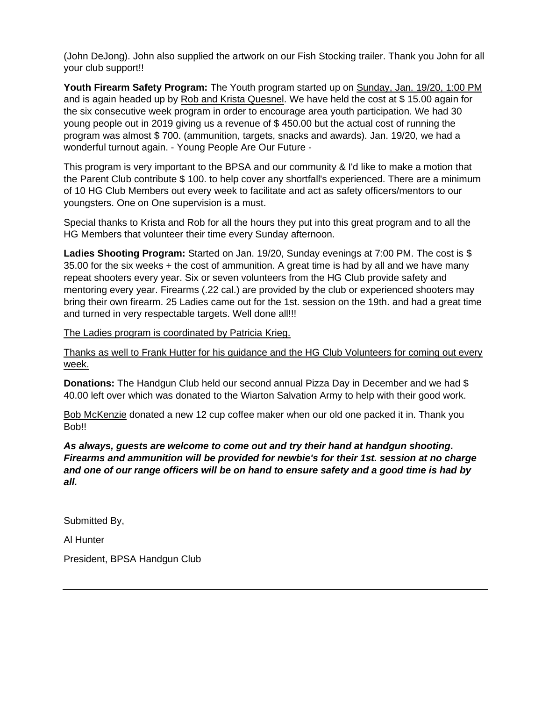(John DeJong). John also supplied the artwork on our Fish Stocking trailer. Thank you John for all your club support!!

**Youth Firearm Safety Program:** The Youth program started up on Sunday, Jan. 19/20, 1:00 PM and is again headed up by Rob and Krista Quesnel. We have held the cost at \$ 15.00 again for the six consecutive week program in order to encourage area youth participation. We had 30 young people out in 2019 giving us a revenue of \$ 450.00 but the actual cost of running the program was almost \$ 700. (ammunition, targets, snacks and awards). Jan. 19/20, we had a wonderful turnout again. - Young People Are Our Future -

This program is very important to the BPSA and our community & I'd like to make a motion that the Parent Club contribute \$ 100. to help cover any shortfall's experienced. There are a minimum of 10 HG Club Members out every week to facilitate and act as safety officers/mentors to our youngsters. One on One supervision is a must.

Special thanks to Krista and Rob for all the hours they put into this great program and to all the HG Members that volunteer their time every Sunday afternoon.

**Ladies Shooting Program:** Started on Jan. 19/20, Sunday evenings at 7:00 PM. The cost is \$ 35.00 for the six weeks + the cost of ammunition. A great time is had by all and we have many repeat shooters every year. Six or seven volunteers from the HG Club provide safety and mentoring every year. Firearms (.22 cal.) are provided by the club or experienced shooters may bring their own firearm. 25 Ladies came out for the 1st. session on the 19th. and had a great time and turned in very respectable targets. Well done all!!!

The Ladies program is coordinated by Patricia Krieg.

Thanks as well to Frank Hutter for his guidance and the HG Club Volunteers for coming out every week.

**Donations:** The Handgun Club held our second annual Pizza Day in December and we had \$ 40.00 left over which was donated to the Wiarton Salvation Army to help with their good work.

Bob McKenzie donated a new 12 cup coffee maker when our old one packed it in. Thank you Bob!!

*As always, guests are welcome to come out and try their hand at handgun shooting. Firearms and ammunition will be provided for newbie's for their 1st. session at no charge and one of our range officers will be on hand to ensure safety and a good time is had by all.*

Submitted By,

Al Hunter

President, BPSA Handgun Club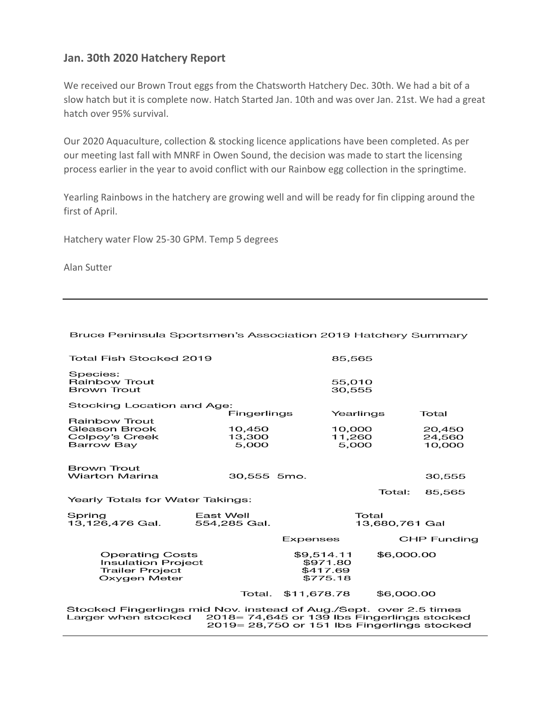### **Jan. 30th 2020 Hatchery Report**

We received our Brown Trout eggs from the Chatsworth Hatchery Dec. 30th. We had a bit of a slow hatch but it is complete now. Hatch Started Jan. 10th and was over Jan. 21st. We had a great hatch over 95% survival.

Our 2020 Aquaculture, collection & stocking licence applications have been completed. As per our meeting last fall with MNRF in Owen Sound, the decision was made to start the licensing process earlier in the year to avoid conflict with our Rainbow egg collection in the springtime.

Yearling Rainbows in the hatchery are growing well and will be ready for fin clipping around the first of April.

Hatchery water Flow 25-30 GPM. Temp 5 degrees

Alan Sutter

| Bruce Peninsula Sportsmen's Association 2019 Hatchery Summary |  |
|---------------------------------------------------------------|--|
|---------------------------------------------------------------|--|

| Total Fish Stocked 2019                                                                       |                                                |                                                | 85,565           |                    |
|-----------------------------------------------------------------------------------------------|------------------------------------------------|------------------------------------------------|------------------|--------------------|
| Species:<br>Rainbow Trout<br><b>Brown Trout</b>                                               |                                                |                                                | 55,010<br>30,555 |                    |
| Stocking Location and Age:                                                                    |                                                |                                                |                  |                    |
| <b>Rainbow Trout</b>                                                                          | Fingerlings                                    |                                                | Yearlings        | Total              |
| Gleason Brook                                                                                 | 10,450                                         |                                                | 10,000           | 20,450             |
| Colpoy's Creek                                                                                | 13,300                                         |                                                | 11,260           | 24,560             |
| Barrow Bay                                                                                    | 5,000                                          |                                                | 5,000            | 10,000             |
| <b>Brown Trout</b><br><b>Wiarton Marina</b>                                                   |                                                |                                                |                  |                    |
|                                                                                               | 30,555 5mo.                                    |                                                |                  | 30,555             |
| Yearly Totals for Water Takings:                                                              |                                                |                                                | Total:           | 85,565             |
|                                                                                               |                                                |                                                |                  |                    |
| Spring                                                                                        | East Well                                      |                                                | Total            |                    |
| 13,126,476 Gal.                                                                               | 554,285 Gal.                                   |                                                | 13,680,761 Gal   |                    |
|                                                                                               |                                                | Expenses                                       |                  | <b>CHP Funding</b> |
| <b>Operating Costs</b><br><b>Insulation Project</b><br><b>Trailer Project</b><br>Oxygen Meter |                                                | \$9,514.11<br>\$971.80<br>\$417.69<br>\$775.18 | \$6,000.00       |                    |
|                                                                                               | Total.                                         | \$11,678.78                                    | \$6,000.00       |                    |
| Stocked Fingerlings mid Nov. instead of Aug./Sept. over 2.5 times<br>Larger when stocked      | $2018 = 74,645$ or 139 lbs Fingerlings stocked |                                                |                  |                    |

2019 = 28,750 or 151 lbs Fingerlings stocked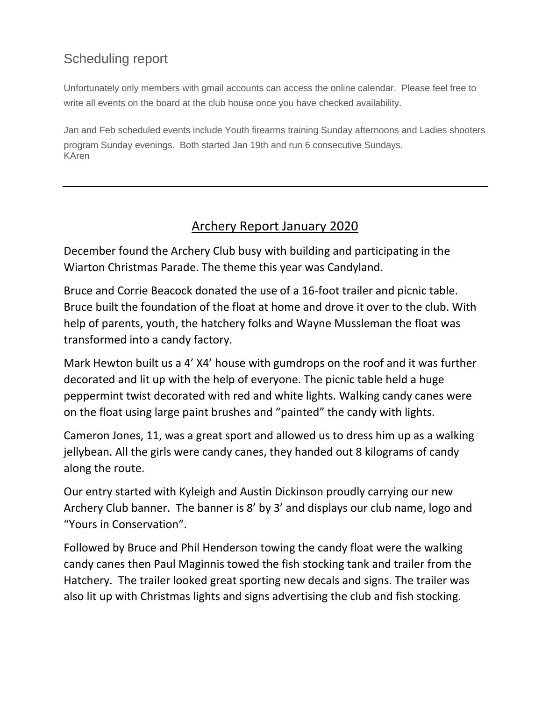# Scheduling report

Unfortunately only members with gmail accounts can access the online calendar. Please feel free to write all events on the board at the club house once you have checked availability.

Jan and Feb scheduled events include Youth firearms training Sunday afternoons and Ladies shooters program Sunday evenings. Both started Jan 19th and run 6 consecutive Sundays. KAren

### Archery Report January 2020

December found the Archery Club busy with building and participating in the Wiarton Christmas Parade. The theme this year was Candyland.

Bruce and Corrie Beacock donated the use of a 16-foot trailer and picnic table. Bruce built the foundation of the float at home and drove it over to the club. With help of parents, youth, the hatchery folks and Wayne Mussleman the float was transformed into a candy factory.

Mark Hewton built us a 4' X4' house with gumdrops on the roof and it was further decorated and lit up with the help of everyone. The picnic table held a huge peppermint twist decorated with red and white lights. Walking candy canes were on the float using large paint brushes and "painted" the candy with lights.

Cameron Jones, 11, was a great sport and allowed us to dress him up as a walking jellybean. All the girls were candy canes, they handed out 8 kilograms of candy along the route.

Our entry started with Kyleigh and Austin Dickinson proudly carrying our new Archery Club banner. The banner is 8' by 3' and displays our club name, logo and "Yours in Conservation".

Followed by Bruce and Phil Henderson towing the candy float were the walking candy canes then Paul Maginnis towed the fish stocking tank and trailer from the Hatchery. The trailer looked great sporting new decals and signs. The trailer was also lit up with Christmas lights and signs advertising the club and fish stocking.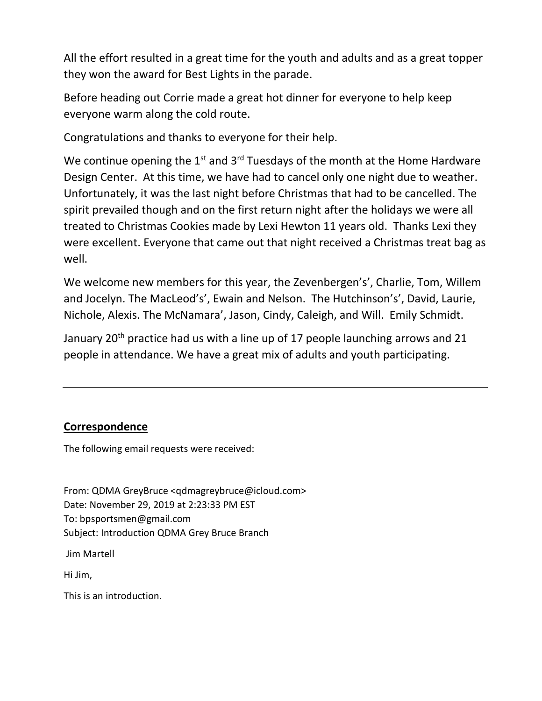All the effort resulted in a great time for the youth and adults and as a great topper they won the award for Best Lights in the parade.

Before heading out Corrie made a great hot dinner for everyone to help keep everyone warm along the cold route.

Congratulations and thanks to everyone for their help.

We continue opening the  $1<sup>st</sup>$  and  $3<sup>rd</sup>$  Tuesdays of the month at the Home Hardware Design Center. At this time, we have had to cancel only one night due to weather. Unfortunately, it was the last night before Christmas that had to be cancelled. The spirit prevailed though and on the first return night after the holidays we were all treated to Christmas Cookies made by Lexi Hewton 11 years old. Thanks Lexi they were excellent. Everyone that came out that night received a Christmas treat bag as well.

We welcome new members for this year, the Zevenbergen's', Charlie, Tom, Willem and Jocelyn. The MacLeod's', Ewain and Nelson. The Hutchinson's', David, Laurie, Nichole, Alexis. The McNamara', Jason, Cindy, Caleigh, and Will. Emily Schmidt.

January 20<sup>th</sup> practice had us with a line up of 17 people launching arrows and 21 people in attendance. We have a great mix of adults and youth participating.

### **Correspondence**

The following email requests were received:

From: QDMA GreyBruce <qdmagreybruce@icloud.com> Date: November 29, 2019 at 2:23:33 PM EST To: bpsportsmen@gmail.com Subject: Introduction QDMA Grey Bruce Branch

Jim Martell

Hi Jim,

This is an introduction.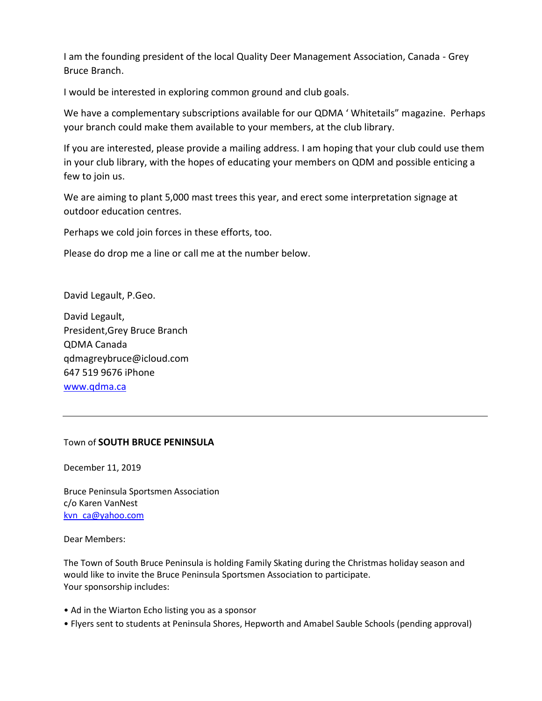I am the founding president of the local Quality Deer Management Association, Canada - Grey Bruce Branch.

I would be interested in exploring common ground and club goals.

We have a complementary subscriptions available for our QDMA ' Whitetails" magazine. Perhaps your branch could make them available to your members, at the club library.

If you are interested, please provide a mailing address. I am hoping that your club could use them in your club library, with the hopes of educating your members on QDM and possible enticing a few to join us.

We are aiming to plant 5,000 mast trees this year, and erect some interpretation signage at outdoor education centres.

Perhaps we cold join forces in these efforts, too.

Please do drop me a line or call me at the number below.

David Legault, P.Geo.

David Legault, President,Grey Bruce Branch QDMA Canada qdmagreybruce@icloud.com 647 519 9676 iPhone [www.qdma.ca](http://www.qdma.ca/)

### Town of **SOUTH BRUCE PENINSULA**

December 11, 2019

Bruce Peninsula Sportsmen Association c/o Karen VanNest kvn ca@yahoo.com

Dear Members:

The Town of South Bruce Peninsula is holding Family Skating during the Christmas holiday season and would like to invite the Bruce Peninsula Sportsmen Association to participate. Your sponsorship includes:

- Ad in the Wiarton Echo listing you as a sponsor
- Flyers sent to students at Peninsula Shores, Hepworth and Amabel Sauble Schools (pending approval)